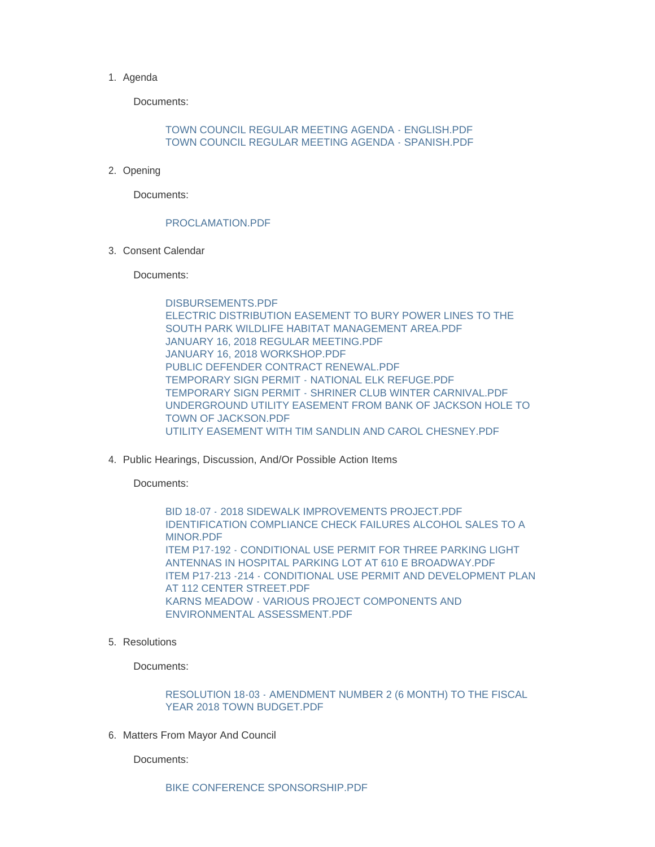## 1. Agenda

Documents:

[TOWN COUNCIL REGULAR MEETING AGENDA - ENGLISH.PDF](http://wy-jackson.civicplus.com/AgendaCenter/ViewFile/Item/399?fileID=1139) [TOWN COUNCIL REGULAR MEETING AGENDA - SPANISH.PDF](http://wy-jackson.civicplus.com/AgendaCenter/ViewFile/Item/399?fileID=1140)

2. Opening

Documents:

## [PROCLAMATION.PDF](http://wy-jackson.civicplus.com/AgendaCenter/ViewFile/Item/401?fileID=1142)

Consent Calendar 3.

Documents:

[DISBURSEMENTS.PDF](http://wy-jackson.civicplus.com/AgendaCenter/ViewFile/Item/403?fileID=1144) [ELECTRIC DISTRIBUTION EASEMENT TO BURY POWER LINES TO THE](http://wy-jackson.civicplus.com/AgendaCenter/ViewFile/Item/403?fileID=1145)  SOUTH PARK WILDLIFE HABITAT MANAGEMENT AREA.PDF [JANUARY 16, 2018 REGULAR MEETING.PDF](http://wy-jackson.civicplus.com/AgendaCenter/ViewFile/Item/403?fileID=1146) [JANUARY 16, 2018 WORKSHOP.PDF](http://wy-jackson.civicplus.com/AgendaCenter/ViewFile/Item/403?fileID=1147) [PUBLIC DEFENDER CONTRACT RENEWAL.PDF](http://wy-jackson.civicplus.com/AgendaCenter/ViewFile/Item/403?fileID=1148) [TEMPORARY SIGN PERMIT - NATIONAL ELK REFUGE.PDF](http://wy-jackson.civicplus.com/AgendaCenter/ViewFile/Item/403?fileID=1149) [TEMPORARY SIGN PERMIT - SHRINER CLUB WINTER CARNIVAL.PDF](http://wy-jackson.civicplus.com/AgendaCenter/ViewFile/Item/403?fileID=1150) [UNDERGROUND UTILITY EASEMENT FROM BANK OF JACKSON HOLE TO](http://wy-jackson.civicplus.com/AgendaCenter/ViewFile/Item/403?fileID=1151)  TOWN OF JACKSON.PDF [UTILITY EASEMENT WITH TIM SANDLIN AND CAROL CHESNEY.PDF](http://wy-jackson.civicplus.com/AgendaCenter/ViewFile/Item/403?fileID=1152)

4. Public Hearings, Discussion, And/Or Possible Action Items

Documents:

[BID 18-07 - 2018 SIDEWALK IMPROVEMENTS PROJECT.PDF](http://wy-jackson.civicplus.com/AgendaCenter/ViewFile/Item/405?fileID=1154) [IDENTIFICATION COMPLIANCE CHECK FAILURES ALCOHOL SALES TO A](http://wy-jackson.civicplus.com/AgendaCenter/ViewFile/Item/405?fileID=1155)  MINOR.PDF [ITEM P17-192 - CONDITIONAL USE PERMIT FOR THREE PARKING LIGHT](http://wy-jackson.civicplus.com/AgendaCenter/ViewFile/Item/405?fileID=1156)  ANTENNAS IN HOSPITAL PARKING LOT AT 610 F BROADWAY PDF [ITEM P17-213 -214 - CONDITIONAL USE PERMIT AND DEVELOPMENT PLAN](http://wy-jackson.civicplus.com/AgendaCenter/ViewFile/Item/405?fileID=1157)  AT 112 CENTER STREET.PDF [KARNS MEADOW - VARIOUS PROJECT COMPONENTS AND](http://wy-jackson.civicplus.com/AgendaCenter/ViewFile/Item/405?fileID=1158)  ENVIRONMENTAL ASSESSMENT.PDF

5. Resolutions

Documents:

[RESOLUTION 18-03 - AMENDMENT NUMBER 2 \(6 MONTH\) TO THE FISCAL](http://wy-jackson.civicplus.com/AgendaCenter/ViewFile/Item/407?fileID=1161)  YEAR 2018 TOWN BUDGET.PDF

6. Matters From Mayor And Council

Documents: